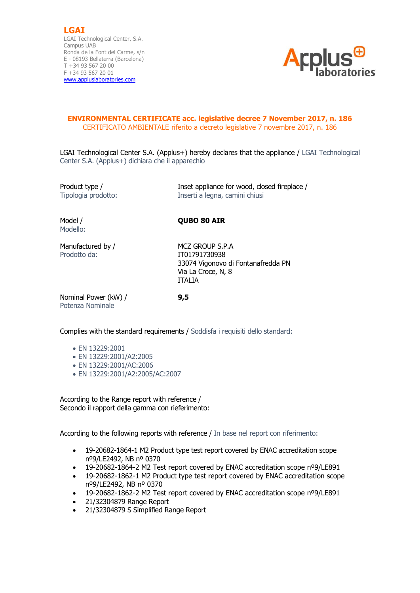**LGAI** LGAI Technological Center, S.A. Campus UAB Ronda de la Font del Carme, s/n E - 08193 Bellaterra (Barcelona) T +34 93 567 20 00 F +34 93 567 20 01 [www.appluslaboratories.com](http://www.appluslaboratories.com/)



## **ENVIRONMENTAL CERTIFICATE acc. legislative decree 7 November 2017, n. 186** CERTIFICATO AMBIENTALE riferito a decreto legislative 7 novembre 2017, n. 186

LGAI Technological Center S.A. (Applus+) hereby declares that the appliance / LGAI Technological Center S.A. (Applus+) dichiara che il apparechio

Product type / Inset appliance for wood, closed fireplace / Tipologia prodotto: Inserti a legna, camini chiusi

Modello:

Model / **QUBO 80 AIR**

Manufactured by / MCZ GROUP S.P.A Prodotto da: **IT01791730938** 

 33074 Vigonovo di Fontanafredda PN Via La Croce, N, 8 ITALIA

Nominal Power (kW) / **9,5** Potenza Nominale

Complies with the standard requirements / Soddisfa i requisiti dello standard:

- EN 13229:2001
- EN 13229:2001/A2:2005
- EN 13229:2001/AC:2006
- EN 13229:2001/A2:2005/AC:2007

According to the Range report with reference / Secondo il rapport della gamma con rieferimento:

According to the following reports with reference / In base nel report con riferimento:

- 19-20682-1864-1 M2 Product type test report covered by ENAC accreditation scope nº9/LE2492, NB nº 0370
- 19-20682-1864-2 M2 Test report covered by ENAC accreditation scope nº9/LE891
- 19-20682-1862-1 M2 Product type test report covered by ENAC accreditation scope nº9/LE2492, NB nº 0370
- 19-20682-1862-2 M2 Test report covered by ENAC accreditation scope nº9/LE891
- 21/32304879 Range Report
- 21/32304879 S Simplified Range Report